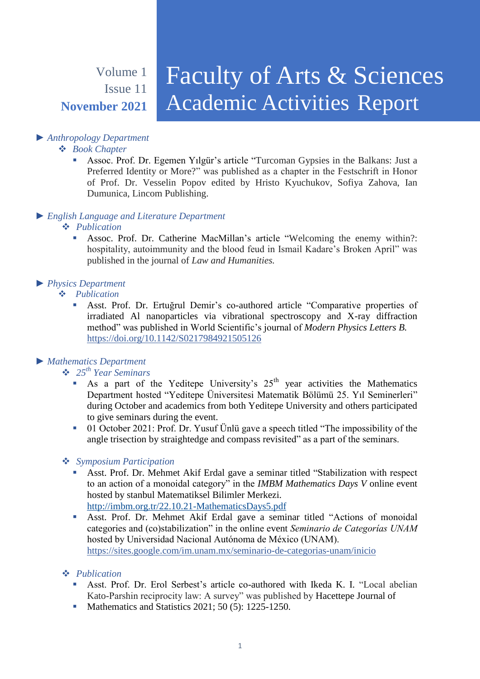Volume 1 Issue 11 **November 2021**

# Faculty of Arts & Sciences Academic Activities Report

# *► Anthropology Department*

#### *Book Chapter*

 Assoc. Prof. Dr. Egemen Yılgür's article "Turcoman Gypsies in the Balkans: Just a Preferred Identity or More?" was published as a chapter in the Festschrift in Honor of Prof. Dr. Vesselin Popov edited by Hristo Kyuchukov, Sofiya Zahova, Ian Dumunica, Lincom Publishing.

## *► English Language and Literature Department*

## *Publication*

 Assoc. Prof. Dr. Catherine MacMillan's article "Welcoming the enemy within?: hospitality, autoimmunity and the blood feud in Ismail Kadare's Broken April" was published in the journal of *Law and Humanities.*

## *► Physics Department*

## *Publication*

 Asst. Prof. Dr. Ertuğrul Demir's co-authored article "Comparative properties of irradiated Al nanoparticles via vibrational spectroscopy and X-ray diffraction method" was published in World Scientific's journal of *Modern Physics Letters B.* <https://doi.org/10.1142/S0217984921505126>

# *► Mathematics Department*

# *25th Year Seminars*

- As a part of the Yeditepe University's  $25<sup>th</sup>$  year activities the Mathematics Department hosted "Yeditepe Üniversitesi Matematik Bölümü 25. Yıl Seminerleri" during October and academics from both Yeditepe University and others participated to give seminars during the event.
- <sup>•</sup> 01 October 2021: Prof. Dr. Yusuf Ünlü gave a speech titled "The impossibility of the angle trisection by straightedge and compass revisited" as a part of the seminars.

## *Symposium Participation*

 Asst. Prof. Dr. Mehmet Akif Erdal gave a seminar titled "Stabilization with respect to an action of a monoidal category" in the *IMBM Mathematics Days V* online event hosted by stanbul Matematiksel Bilimler Merkezi.

<http://imbm.org.tr/22.10.21-MathematicsDays5.pdf>

 Asst. Prof. Dr. Mehmet Akif Erdal gave a seminar titled "Actions of monoidal categories and (co)stabilization" in the online event *Seminario de Categorías UNAM*  hosted by Universidad Nacional Autónoma de México (UNAM). <https://sites.google.com/im.unam.mx/seminario-de-categorias-unam/inicio>

## *Publication*

- Asst. Prof. Dr. Erol Serbest's article co-authored with Ikeda K. I. "Local abelian Kato-Parshin reciprocity law: A survey" was published by Hacettepe Journal of
- **Mathematics and Statistics 2021; 50 (5): 1225-1250.**